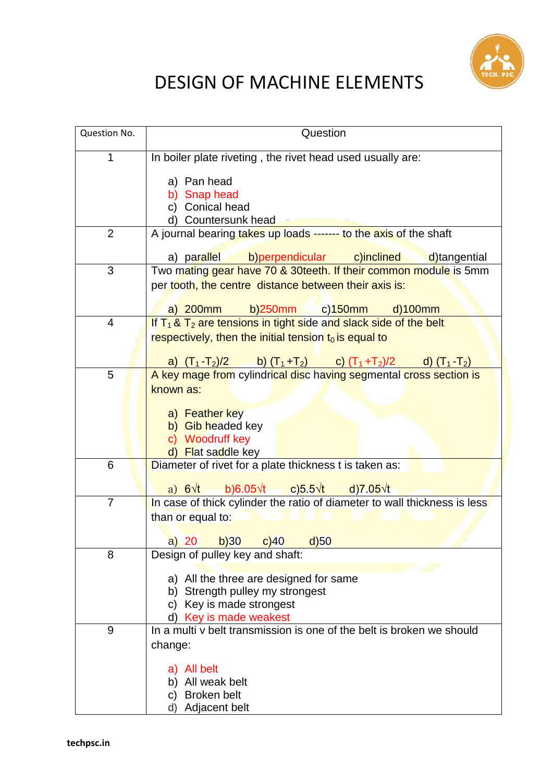

## DESIGN OF MACHINE ELEMENTS

| Question No.   | Question                                                                                                                                                                                              |
|----------------|-------------------------------------------------------------------------------------------------------------------------------------------------------------------------------------------------------|
| 1              | In boiler plate riveting, the rivet head used usually are:                                                                                                                                            |
|                | a) Pan head<br>b) Snap head<br>c) Conical head<br>d) Countersunk head                                                                                                                                 |
| $\overline{2}$ | A journal bearing takes up loads ------- to the axis of the shaft                                                                                                                                     |
|                | a) parallel<br>b)perpendicular c)inclined<br>d)tangential                                                                                                                                             |
| 3              | Two mating gear have 70 & 30teeth. If their common module is 5mm<br>per tooth, the centre distance between their axis is:<br>$b)250mm$ c) $150mm$<br>$a)$ 200 $mm$<br>$d$ )100 $m$                    |
| 4              | If $T_1$ & $T_2$ are tensions in tight side and slack side of the belt<br>respectively, then the initial tension $t_0$ is equal to<br>a) $(T_1-T_2)/2$ b) $(T_1+T_2)$ c) $(T_1+T_2)/2$ d) $(T_1-T_2)$ |
| 5              | A key mage from cylindrical disc having segmental cross section is<br>known as:<br>a) Feather key<br>b) Gib headed key<br>c) Woodruff key<br>d) Flat saddle key                                       |
| 6              | Diameter of rivet for a plate thickness $\overline{t}$ is taken as:<br>b)6.05 $\sqrt{t}$ c)5.5 $\sqrt{t}$ d)7.05 $\sqrt{t}$<br>a) $6\sqrt{t}$                                                         |
| $\overline{7}$ | In case of thick cylinder the ratio of diameter to wall thickness is less<br>than or equal to:<br>a) 20 b)30 c)40 d)50                                                                                |
| 8              | Design of pulley key and shaft:                                                                                                                                                                       |
|                | a) All the three are designed for same<br>Strength pulley my strongest<br>Key is made strongest<br>C)<br>d) Key is made weakest                                                                       |
| 9              | In a multi y belt transmission is one of the belt is broken we should<br>change:<br>a) All belt                                                                                                       |
|                | All weak belt<br>b)<br><b>Broken belt</b><br>C)<br>Adjacent belt<br>d)                                                                                                                                |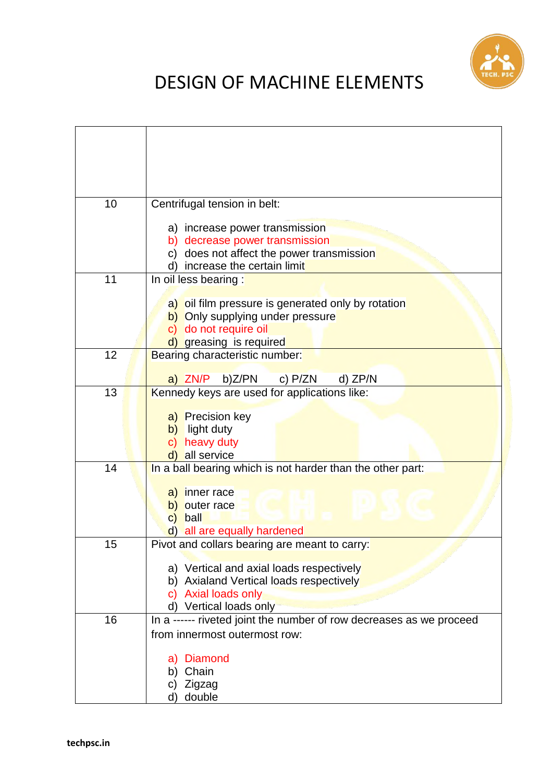

## DESIGN OF MACHINE ELEMENTS

| 10 | Centrifugal tension in belt:                                                     |
|----|----------------------------------------------------------------------------------|
|    | a) increase power transmission                                                   |
|    | b) decrease power transmission                                                   |
|    | does not affect the power transmission<br>C)<br>increase the certain limit<br>d) |
| 11 | In oil less bearing :                                                            |
|    | a) oil film pressure is generated only by rotation                               |
|    | b) Only supplying under pressure                                                 |
|    | c) do not require oil<br>d) greasing is required                                 |
| 12 | Bearing characteristic number:                                                   |
|    | a) ZN/P<br>b)Z/PN<br>c) $P/ZN$<br>$d)$ ZP/N                                      |
| 13 | Kennedy keys are used for applications like:                                     |
|    | a) Precision key                                                                 |
|    | b) light duty                                                                    |
|    | heavy duty<br>C)<br>all service<br>d)                                            |
| 14 | In a ball bearing which is not harder than the other part:                       |
|    |                                                                                  |
|    | a) inner race<br>outer race<br>b)                                                |
|    | ball<br>$\mathsf{C}$                                                             |
|    | all are equally hardened<br>$\mathsf{d}$                                         |
| 15 | Pivot and collars bearing are meant to carry:                                    |
|    | a) Vertical and axial loads respectively                                         |
|    | b) Axialand Vertical loads respectively                                          |
|    | Axial loads only<br>C)<br>d) Vertical loads only                                 |
| 16 | In a ------ riveted joint the number of row decreases as we proceed              |
|    | from innermost outermost row:                                                    |
|    | <b>Diamond</b><br>a)                                                             |
|    | Chain<br>b)                                                                      |
|    | Zigzag<br>C)                                                                     |
|    | double<br>d)                                                                     |